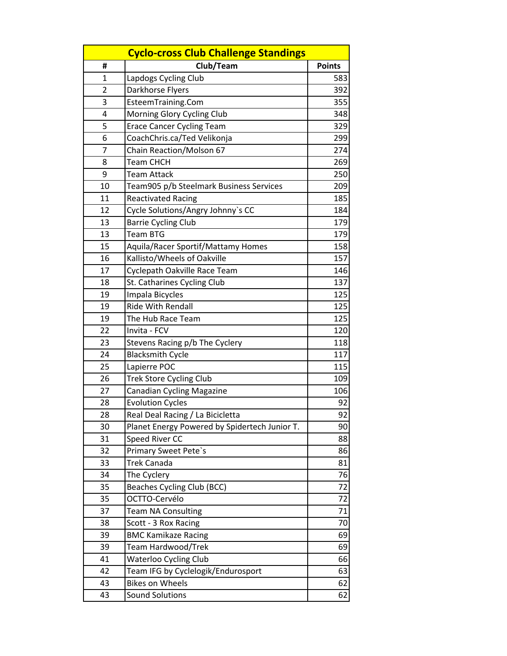| <b>Cyclo-cross Club Challenge Standings</b> |                                               |               |  |
|---------------------------------------------|-----------------------------------------------|---------------|--|
| #                                           | Club/Team                                     | <b>Points</b> |  |
| 1                                           | Lapdogs Cycling Club                          | 583           |  |
| 2                                           | Darkhorse Flyers                              | 392           |  |
| 3                                           | EsteemTraining.Com                            | 355           |  |
| 4                                           | Morning Glory Cycling Club                    | 348           |  |
| 5                                           | <b>Erace Cancer Cycling Team</b>              | 329           |  |
| 6                                           | CoachChris.ca/Ted Velikonja                   | 299           |  |
| 7                                           | Chain Reaction/Molson 67                      | 274           |  |
| 8                                           | <b>Team CHCH</b>                              | 269           |  |
| 9                                           | Team Attack                                   | 250           |  |
| 10                                          | Team905 p/b Steelmark Business Services       | 209           |  |
| 11                                          | <b>Reactivated Racing</b>                     | 185           |  |
| 12                                          | Cycle Solutions/Angry Johnny's CC             | 184           |  |
| 13                                          | <b>Barrie Cycling Club</b>                    | 179           |  |
| 13                                          | <b>Team BTG</b>                               | 179           |  |
| 15                                          | Aquila/Racer Sportif/Mattamy Homes            | 158           |  |
| 16                                          | Kallisto/Wheels of Oakville                   | 157           |  |
| 17                                          | Cyclepath Oakville Race Team                  | 146           |  |
| 18                                          | St. Catharines Cycling Club                   | 137           |  |
| 19                                          | Impala Bicycles                               | 125           |  |
| 19                                          | <b>Ride With Rendall</b>                      | 125           |  |
| 19                                          | The Hub Race Team                             | 125           |  |
| 22                                          | Invita - FCV                                  | 120           |  |
| 23                                          | Stevens Racing p/b The Cyclery                | 118           |  |
| 24                                          | <b>Blacksmith Cycle</b>                       | 117           |  |
| 25                                          | Lapierre POC                                  | 115           |  |
| 26                                          | <b>Trek Store Cycling Club</b>                | 109           |  |
| 27                                          | <b>Canadian Cycling Magazine</b>              | 106           |  |
| 28                                          | <b>Evolution Cycles</b>                       | 92            |  |
| 28                                          | Real Deal Racing / La Bicicletta              | 92            |  |
| 30                                          | Planet Energy Powered by Spidertech Junior T. | 90            |  |
| 31                                          | Speed River CC                                | 88            |  |
| 32                                          | Primary Sweet Pete's                          | 86            |  |
| 33                                          | <b>Trek Canada</b>                            | 81            |  |
| 34                                          | The Cyclery                                   | 76            |  |
| 35                                          | Beaches Cycling Club (BCC)                    | 72            |  |
| 35                                          | OCTTO-Cervélo                                 | 72            |  |
| 37                                          | <b>Team NA Consulting</b>                     | 71            |  |
| 38                                          | Scott - 3 Rox Racing                          | 70            |  |
| 39                                          | <b>BMC Kamikaze Racing</b>                    | 69            |  |
| 39                                          | Team Hardwood/Trek                            | 69            |  |
| 41                                          | <b>Waterloo Cycling Club</b>                  | 66            |  |
| 42                                          | Team IFG by Cyclelogik/Endurosport            | 63            |  |
| 43                                          | <b>Bikes on Wheels</b>                        | 62            |  |
| 43                                          | <b>Sound Solutions</b>                        | 62            |  |